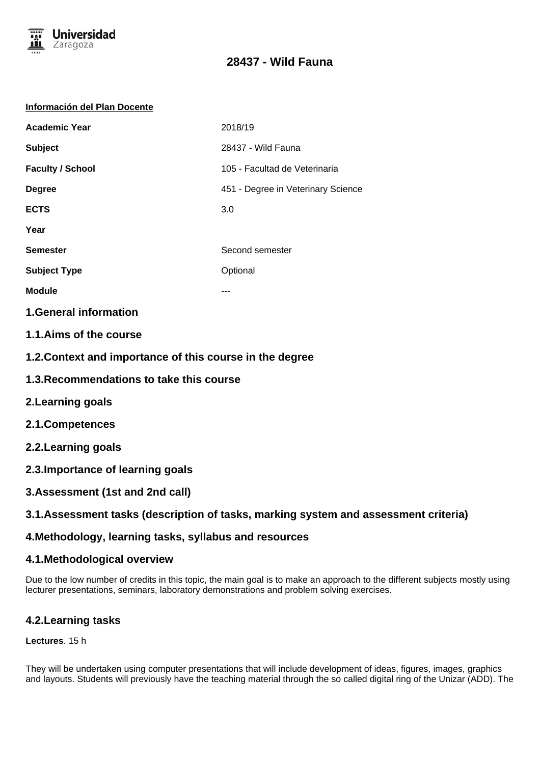

# **28437 - Wild Fauna**

#### **Información del Plan Docente**

| <b>Academic Year</b>    | 2018/19                            |
|-------------------------|------------------------------------|
| <b>Subject</b>          | 28437 - Wild Fauna                 |
| <b>Faculty / School</b> | 105 - Facultad de Veterinaria      |
| <b>Degree</b>           | 451 - Degree in Veterinary Science |
| <b>ECTS</b>             | 3.0                                |
| Year                    |                                    |
| <b>Semester</b>         | Second semester                    |
| <b>Subject Type</b>     | Optional                           |
| <b>Module</b>           |                                    |
|                         |                                    |

**1.General information**

- **1.1.Aims of the course**
- **1.2.Context and importance of this course in the degree**
- **1.3.Recommendations to take this course**
- **2.Learning goals**
- **2.1.Competences**
- **2.2.Learning goals**
- **2.3.Importance of learning goals**
- **3.Assessment (1st and 2nd call)**

## **3.1.Assessment tasks (description of tasks, marking system and assessment criteria)**

## **4.Methodology, learning tasks, syllabus and resources**

### **4.1.Methodological overview**

Due to the low number of credits in this topic, the main goal is to make an approach to the different subjects mostly using lecturer presentations, seminars, laboratory demonstrations and problem solving exercises.

## **4.2.Learning tasks**

### **Lectures**. 15 h

They will be undertaken using computer presentations that will include development of ideas, figures, images, graphics and layouts. Students will previously have the teaching material through the so called digital ring of the Unizar (ADD). The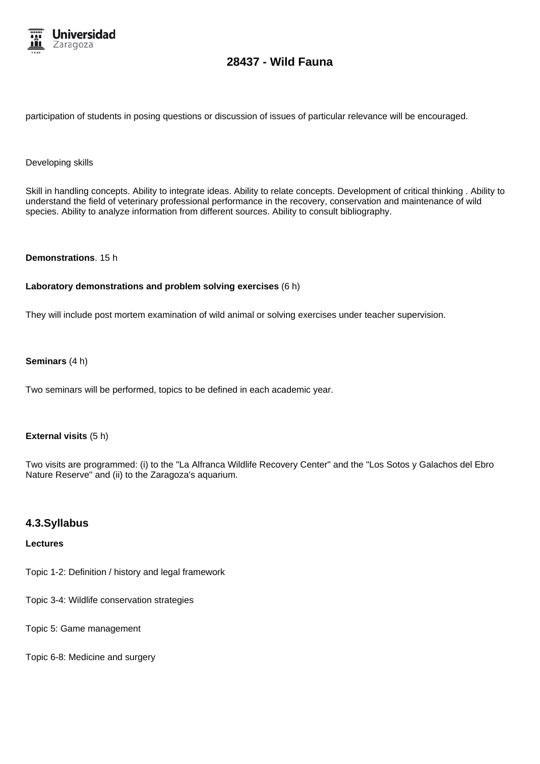

# **28437 - Wild Fauna**

participation of students in posing questions or discussion of issues of particular relevance will be encouraged.

#### Developing skills

Skill in handling concepts. Ability to integrate ideas. Ability to relate concepts. Development of critical thinking . Ability to understand the field of veterinary professional performance in the recovery, conservation and maintenance of wild species. Ability to analyze information from different sources. Ability to consult bibliography.

#### **Demonstrations**. 15 h

#### **Laboratory demonstrations and problem solving exercises** (6 h)

They will include post mortem examination of wild animal or solving exercises under teacher supervision.

#### **Seminars** (4 h)

Two seminars will be performed, topics to be defined in each academic year.

#### **External visits** (5 h)

Two visits are programmed: (i) to the "La Alfranca Wildlife Recovery Center" and the "Los Sotos y Galachos del Ebro Nature Reserve" and (ii) to the Zaragoza's aquarium.

#### **4.3.Syllabus**

#### **Lectures**

Topic 1-2: Definition / history and legal framework

Topic 3-4: Wildlife conservation strategies

Topic 5: Game management

Topic 6-8: Medicine and surgery